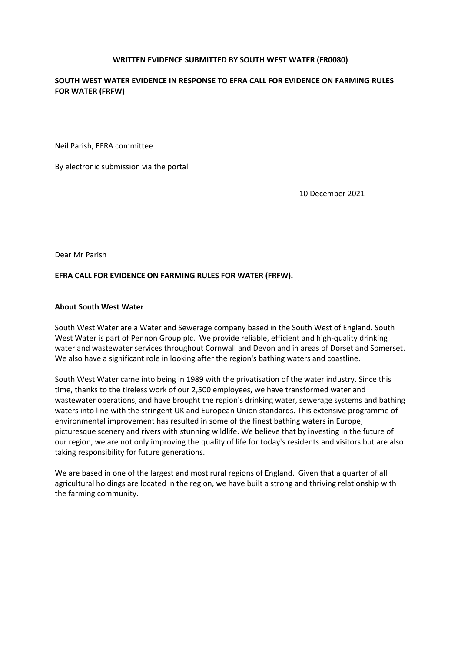## **WRITTEN EVIDENCE SUBMITTED BY SOUTH WEST WATER (FR0080)**

# **SOUTH WEST WATER EVIDENCE IN RESPONSE TO EFRA CALL FOR EVIDENCE ON FARMING RULES FOR WATER (FRFW)**

Neil Parish, EFRA committee

By electronic submission via the portal

10 December 2021

Dear Mr Parish

#### **EFRA CALL FOR EVIDENCE ON FARMING RULES FOR WATER (FRFW).**

#### **About South West Water**

South West Water are a Water and Sewerage company based in the South West of England. South West Water is part of Pennon Group plc. We provide reliable, efficient and high-quality drinking water and wastewater services throughout Cornwall and Devon and in areas of Dorset and Somerset. We also have a significant role in looking after the region's bathing waters and coastline.

South West Water came into being in 1989 with the privatisation of the water industry. Since this time, thanks to the tireless work of our 2,500 employees, we have transformed water and wastewater operations, and have brought the region's drinking water, sewerage systems and bathing waters into line with the stringent UK and European Union standards. This extensive programme of environmental improvement has resulted in some of the finest bathing waters in Europe, picturesque scenery and rivers with stunning wildlife. We believe that by investing in the future of our region, we are not only improving the quality of life for today's residents and visitors but are also taking responsibility for future generations.

We are based in one of the largest and most rural regions of England. Given that a quarter of all agricultural holdings are located in the region, we have built a strong and thriving relationship with the farming community.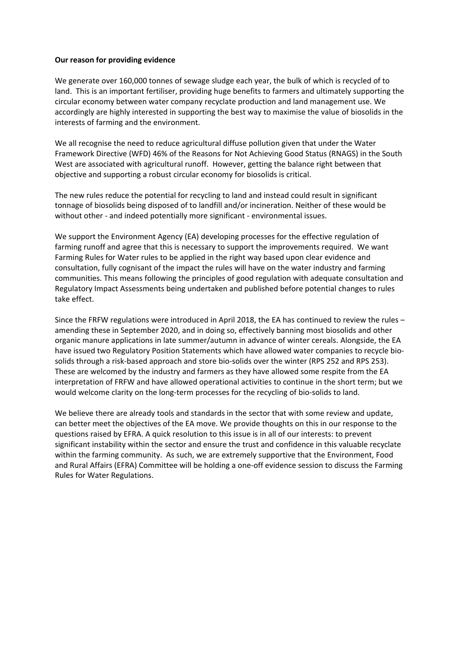## **Our reason for providing evidence**

We generate over 160,000 tonnes of sewage sludge each year, the bulk of which is recycled of to land. This is an important fertiliser, providing huge benefits to farmers and ultimately supporting the circular economy between water company recyclate production and land management use. We accordingly are highly interested in supporting the best way to maximise the value of biosolids in the interests of farming and the environment.

We all recognise the need to reduce agricultural diffuse pollution given that under the Water Framework Directive (WFD) 46% of the Reasons for Not Achieving Good Status (RNAGS) in the South West are associated with agricultural runoff. However, getting the balance right between that objective and supporting a robust circular economy for biosolids is critical.

The new rules reduce the potential for recycling to land and instead could result in significant tonnage of biosolids being disposed of to landfill and/or incineration. Neither of these would be without other - and indeed potentially more significant - environmental issues.

We support the Environment Agency (EA) developing processes for the effective regulation of farming runoff and agree that this is necessary to support the improvements required. We want Farming Rules for Water rules to be applied in the right way based upon clear evidence and consultation, fully cognisant of the impact the rules will have on the water industry and farming communities. This means following the principles of good regulation with adequate consultation and Regulatory Impact Assessments being undertaken and published before potential changes to rules take effect.

Since the FRFW regulations were introduced in April 2018, the EA has continued to review the rules – amending these in September 2020, and in doing so, effectively banning most biosolids and other organic manure applications in late summer/autumn in advance of winter cereals. Alongside, the EA have issued two Regulatory Position Statements which have allowed water companies to recycle biosolids through a risk-based approach and store bio-solids over the winter (RPS 252 and RPS 253). These are welcomed by the industry and farmers as they have allowed some respite from the EA interpretation of FRFW and have allowed operational activities to continue in the short term; but we would welcome clarity on the long-term processes for the recycling of bio-solids to land.

We believe there are already tools and standards in the sector that with some review and update, can better meet the objectives of the EA move. We provide thoughts on this in our response to the questions raised by EFRA. A quick resolution to this issue is in all of our interests: to prevent significant instability within the sector and ensure the trust and confidence in this valuable recyclate within the farming community. As such, we are extremely supportive that the Environment, Food and Rural Affairs (EFRA) Committee will be holding a one-off evidence session to discuss the Farming Rules for Water Regulations.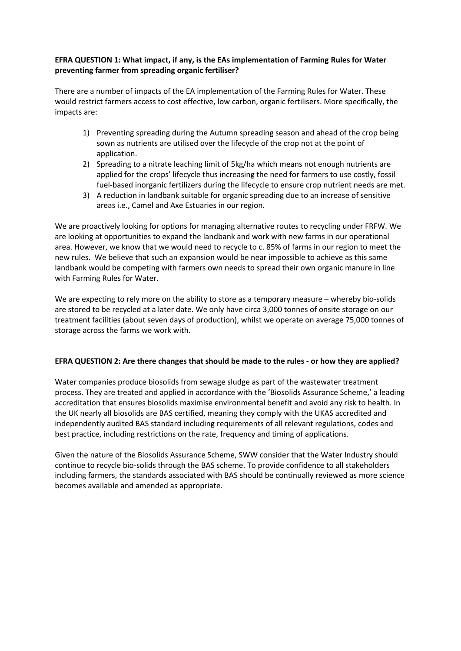# **EFRA QUESTION 1: What impact, if any, is the EAs implementation of Farming Rules for Water preventing farmer from spreading organic fertiliser?**

There are a number of impacts of the EA implementation of the Farming Rules for Water. These would restrict farmers access to cost effective, low carbon, organic fertilisers. More specifically, the impacts are:

- 1) Preventing spreading during the Autumn spreading season and ahead of the crop being sown as nutrients are utilised over the lifecycle of the crop not at the point of application.
- 2) Spreading to a nitrate leaching limit of 5kg/ha which means not enough nutrients are applied for the crops' lifecycle thus increasing the need for farmers to use costly, fossil fuel-based inorganic fertilizers during the lifecycle to ensure crop nutrient needs are met.
- 3) A reduction in landbank suitable for organic spreading due to an increase of sensitive areas i.e., Camel and Axe Estuaries in our region.

We are proactively looking for options for managing alternative routes to recycling under FRFW. We are looking at opportunities to expand the landbank and work with new farms in our operational area. However, we know that we would need to recycle to c. 85% of farms in our region to meet the new rules. We believe that such an expansion would be near impossible to achieve as this same landbank would be competing with farmers own needs to spread their own organic manure in line with Farming Rules for Water.

We are expecting to rely more on the ability to store as a temporary measure – whereby bio-solids are stored to be recycled at a later date. We only have circa 3,000 tonnes of onsite storage on our treatment facilities (about seven days of production), whilst we operate on average 75,000 tonnes of storage across the farms we work with.

# EFRA QUESTION 2: Are there changes that should be made to the rules - or how they are applied?

Water companies produce biosolids from sewage sludge as part of the wastewater treatment process. They are treated and applied in accordance with the ['Biosolids](https://assuredbiosolids.co.uk/) [Assurance](https://assuredbiosolids.co.uk/) [Scheme,](https://assuredbiosolids.co.uk/)' a leading accreditation that ensures biosolids maximise environmental benefit and avoid any risk to health. In the UK nearly all biosolids are BAS certified, meaning they comply with the UKAS accredited and independently audited BAS standard including requirements of all relevant regulations, codes and best practice, including restrictions on the rate, frequency and timing of applications.

Given the nature of the Biosolids Assurance Scheme, SWW consider that the Water Industry should continue to recycle bio-solids through the BAS scheme. To provide confidence to all stakeholders including farmers, the standards associated with BAS should be continually reviewed as more science becomes available and amended as appropriate.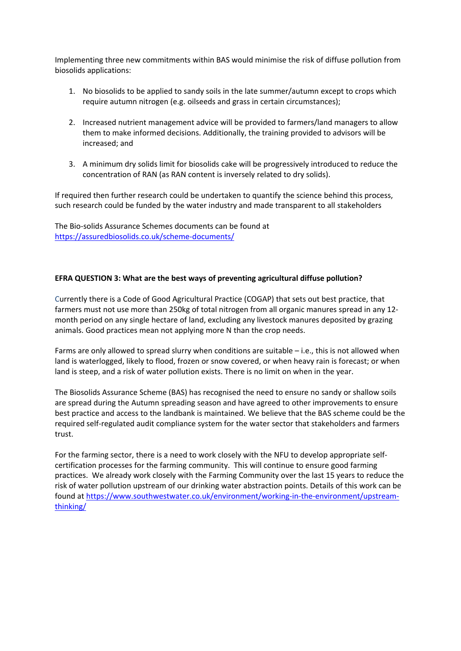Implementing three new commitments within BAS would minimise the risk of diffuse pollution from biosolids applications:

- 1. No biosolids to be applied to sandy soils in the late summer/autumn except to crops which require autumn nitrogen (e.g. oilseeds and grass in certain circumstances);
- 2. Increased nutrient management advice will be provided to farmers/land managers to allow them to make informed decisions. Additionally, the training provided to advisors will be increased; and
- 3. A minimum dry solids limit for biosolids cake will be progressively introduced to reduce the concentration of RAN (as RAN content is inversely related to dry solids).

If required then further research could be undertaken to quantify the science behind this process, such research could be funded by the water industry and made transparent to all stakeholders

The Bio-solids Assurance Schemes documents can be found at <https://assuredbiosolids.co.uk/scheme-documents/>

# **EFRA QUESTION 3: What are the best ways of preventing agricultural diffuse pollution?**

Currently there is a Code of Good Agricultural Practice (COGAP) that sets out best practice, that farmers must not use more than 250kg of total nitrogen from all organic manures spread in any 12 month period on any single hectare of land, excluding any livestock manures deposited by grazing animals. Good practices mean not applying more N than the crop needs.

Farms are only allowed to spread slurry when conditions are suitable – i.e., this is not allowed when land is waterlogged, likely to flood, frozen or snow covered, or when heavy rain is forecast; or when land is steep, and a risk of water pollution exists. There is no limit on when in the year.

The Biosolids Assurance Scheme (BAS) has recognised the need to ensure no sandy or shallow soils are spread during the Autumn spreading season and have agreed to other improvements to ensure best practice and access to the landbank is maintained. We believe that the BAS scheme could be the required self-regulated audit compliance system for the water sector that stakeholders and farmers trust.

For the farming sector, there is a need to work closely with the NFU to develop appropriate selfcertification processes for the farming community. This will continue to ensure good farming practices. We already work closely with the Farming Community over the last 15 years to reduce the risk of water pollution upstream of our drinking water abstraction points. Details of this work can be found at [https://www.southwestwater.co.uk/environment/working-in-the-environment/upstream](https://www.southwestwater.co.uk/environment/working-in-the-environment/upstream-thinking/)[thinking/](https://www.southwestwater.co.uk/environment/working-in-the-environment/upstream-thinking/)